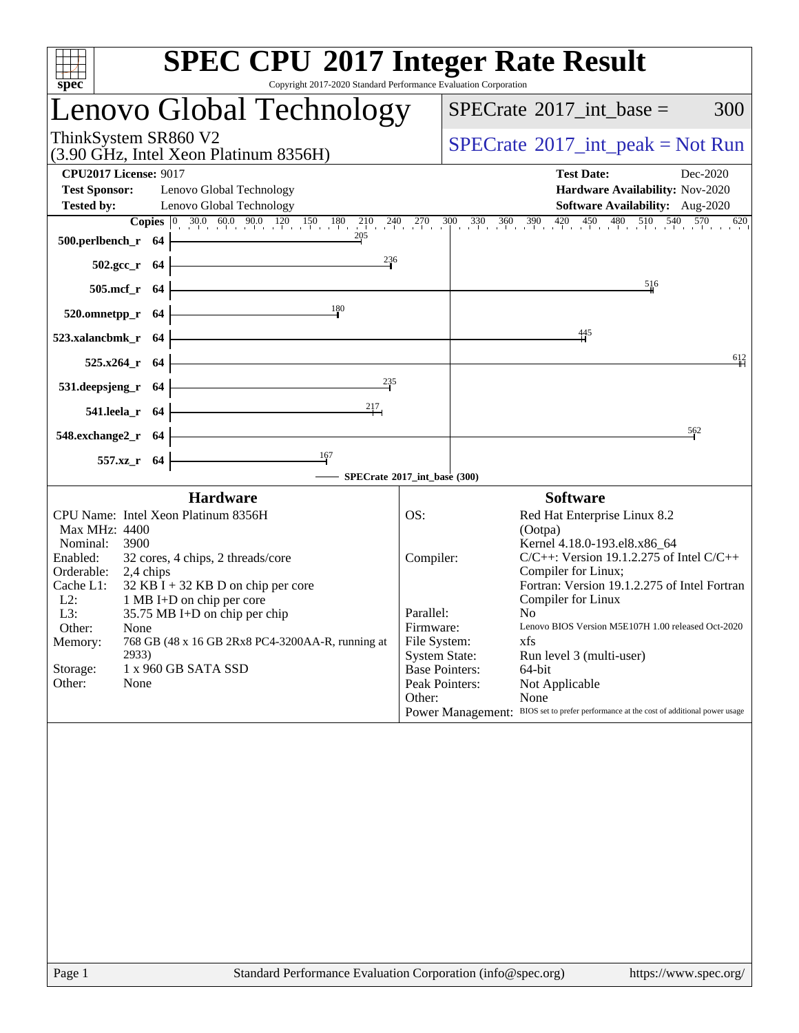|                                                                           | <b>SPEC CPU®2017 Integer Rate Result</b>                                                                                                                             |                                                                                                     |  |                                                                                        |  |  |  |
|---------------------------------------------------------------------------|----------------------------------------------------------------------------------------------------------------------------------------------------------------------|-----------------------------------------------------------------------------------------------------|--|----------------------------------------------------------------------------------------|--|--|--|
| spec <sup>®</sup>                                                         | Copyright 2017-2020 Standard Performance Evaluation Corporation                                                                                                      |                                                                                                     |  |                                                                                        |  |  |  |
|                                                                           | Lenovo Global Technology                                                                                                                                             |                                                                                                     |  | $SPECrate^{\circledast}2017\_int\_base =$<br>300                                       |  |  |  |
| ThinkSystem SR860 V2                                                      | (3.90 GHz, Intel Xeon Platinum 8356H)                                                                                                                                |                                                                                                     |  | $SPECTate@2017_int\_peak = Not Run$                                                    |  |  |  |
| <b>CPU2017 License: 9017</b><br><b>Test Sponsor:</b><br><b>Tested by:</b> | Lenovo Global Technology<br>Lenovo Global Technology                                                                                                                 | <b>Test Date:</b><br>Dec-2020<br>Hardware Availability: Nov-2020<br>Software Availability: Aug-2020 |  |                                                                                        |  |  |  |
|                                                                           | <b>Copies</b> $\begin{bmatrix} 0 & 30.0 & 60.0 & 90.0 & 120 & 150 & 180 & 210 & 240 & 270 & 300 & 330 & 360 & 390 & 420 & 450 & 480 & 510 & 540 & 570 \end{bmatrix}$ |                                                                                                     |  | 620                                                                                    |  |  |  |
| 500.perlbench_r 64                                                        | 205                                                                                                                                                                  |                                                                                                     |  |                                                                                        |  |  |  |
| $502.\text{gcc}_r$ 64                                                     | $^{236}$                                                                                                                                                             |                                                                                                     |  |                                                                                        |  |  |  |
| 505.mcf_r 64                                                              |                                                                                                                                                                      |                                                                                                     |  | 516                                                                                    |  |  |  |
| 520.omnetpp_r 64                                                          | 180                                                                                                                                                                  |                                                                                                     |  |                                                                                        |  |  |  |
| 523.xalancbmk_r 64                                                        |                                                                                                                                                                      |                                                                                                     |  | 445                                                                                    |  |  |  |
| 525.x264_r 64                                                             |                                                                                                                                                                      |                                                                                                     |  | 612                                                                                    |  |  |  |
|                                                                           | 235                                                                                                                                                                  |                                                                                                     |  |                                                                                        |  |  |  |
| 531.deepsjeng_r 64                                                        |                                                                                                                                                                      |                                                                                                     |  |                                                                                        |  |  |  |
| 541.leela_r 64                                                            |                                                                                                                                                                      |                                                                                                     |  |                                                                                        |  |  |  |
| 548.exchange2_r 64                                                        |                                                                                                                                                                      |                                                                                                     |  | 562                                                                                    |  |  |  |
| 557.xz_r 64                                                               |                                                                                                                                                                      |                                                                                                     |  |                                                                                        |  |  |  |
|                                                                           | SPECrate®2017_int_base (300)                                                                                                                                         |                                                                                                     |  |                                                                                        |  |  |  |
|                                                                           | <b>Hardware</b>                                                                                                                                                      |                                                                                                     |  | <b>Software</b>                                                                        |  |  |  |
| CPU Name: Intel Xeon Platinum 8356H                                       |                                                                                                                                                                      | OS:                                                                                                 |  | Red Hat Enterprise Linux 8.2                                                           |  |  |  |
| Max MHz: 4400                                                             |                                                                                                                                                                      |                                                                                                     |  | (Ootpa)                                                                                |  |  |  |
| Nominal:<br>3900<br>Enabled:                                              | 32 cores, 4 chips, 2 threads/core                                                                                                                                    | Compiler:                                                                                           |  | Kernel 4.18.0-193.el8.x86_64<br>$C/C++$ : Version 19.1.2.275 of Intel $C/C++$          |  |  |  |
| Orderable:<br>2,4 chips                                                   |                                                                                                                                                                      |                                                                                                     |  | Compiler for Linux;                                                                    |  |  |  |
| Cache L1:                                                                 | $32$ KB I + 32 KB D on chip per core                                                                                                                                 |                                                                                                     |  | Fortran: Version 19.1.2.275 of Intel Fortran                                           |  |  |  |
| $L2$ :<br>$L3$ :                                                          | 1 MB I+D on chip per core<br>35.75 MB I+D on chip per chip                                                                                                           | Parallel:                                                                                           |  | Compiler for Linux<br>N <sub>0</sub>                                                   |  |  |  |
| Other:<br>None                                                            |                                                                                                                                                                      | Firmware:                                                                                           |  | Lenovo BIOS Version M5E107H 1.00 released Oct-2020                                     |  |  |  |
| Memory:                                                                   | 768 GB (48 x 16 GB 2Rx8 PC4-3200AA-R, running at                                                                                                                     | File System:                                                                                        |  | xfs                                                                                    |  |  |  |
| 2933)                                                                     |                                                                                                                                                                      | <b>System State:</b>                                                                                |  | Run level 3 (multi-user)                                                               |  |  |  |
| Storage:<br>Other:<br>None                                                | 1 x 960 GB SATA SSD                                                                                                                                                  | <b>Base Pointers:</b><br>Peak Pointers:                                                             |  | 64-bit<br>Not Applicable                                                               |  |  |  |
|                                                                           |                                                                                                                                                                      | Other:                                                                                              |  | None                                                                                   |  |  |  |
|                                                                           |                                                                                                                                                                      |                                                                                                     |  | Power Management: BIOS set to prefer performance at the cost of additional power usage |  |  |  |
|                                                                           |                                                                                                                                                                      |                                                                                                     |  |                                                                                        |  |  |  |
|                                                                           |                                                                                                                                                                      |                                                                                                     |  |                                                                                        |  |  |  |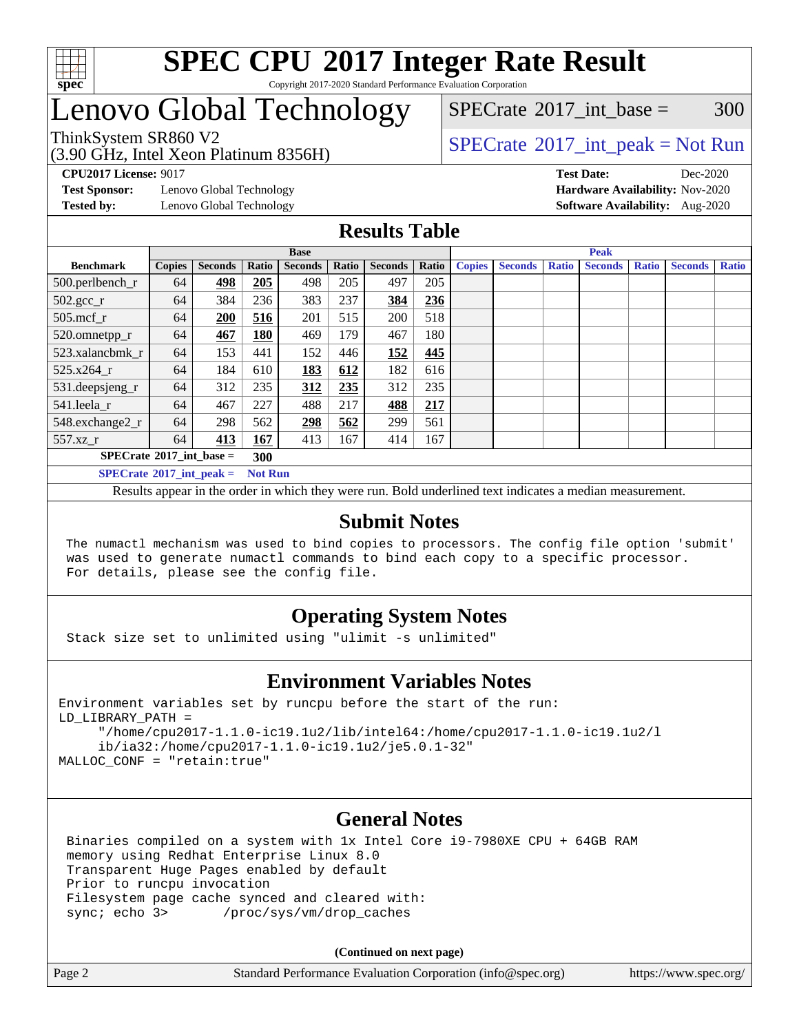

#### **[SPEC CPU](http://www.spec.org/auto/cpu2017/Docs/result-fields.html#SPECCPU2017IntegerRateResult)[2017 Integer Rate Result](http://www.spec.org/auto/cpu2017/Docs/result-fields.html#SPECCPU2017IntegerRateResult)** Copyright 2017-2020 Standard Performance Evaluation Corporation

## Lenovo Global Technology

## (3.90 GHz, Intel Xeon Platinum 8356H)

 $SPECTate^{\circledcirc}2017$  int base = 300

### ThinkSystem SR860 V2<br>  $\begin{array}{c} \text{SPECrate} \textcirc 2017\_int\_peak = Not Run \end{array}$  $\begin{array}{c} \text{SPECrate} \textcirc 2017\_int\_peak = Not Run \end{array}$  $\begin{array}{c} \text{SPECrate} \textcirc 2017\_int\_peak = Not Run \end{array}$

**[CPU2017 License:](http://www.spec.org/auto/cpu2017/Docs/result-fields.html#CPU2017License)** 9017 **[Test Date:](http://www.spec.org/auto/cpu2017/Docs/result-fields.html#TestDate)** Dec-2020

**[Test Sponsor:](http://www.spec.org/auto/cpu2017/Docs/result-fields.html#TestSponsor)** Lenovo Global Technology **[Hardware Availability:](http://www.spec.org/auto/cpu2017/Docs/result-fields.html#HardwareAvailability)** Nov-2020

**[Tested by:](http://www.spec.org/auto/cpu2017/Docs/result-fields.html#Testedby)** Lenovo Global Technology **[Software Availability:](http://www.spec.org/auto/cpu2017/Docs/result-fields.html#SoftwareAvailability)** Aug-2020

### **[Results Table](http://www.spec.org/auto/cpu2017/Docs/result-fields.html#ResultsTable)**

|                                          | <b>Base</b>    |                |       |                |       |                | <b>Peak</b> |               |                |              |                |              |                |              |
|------------------------------------------|----------------|----------------|-------|----------------|-------|----------------|-------------|---------------|----------------|--------------|----------------|--------------|----------------|--------------|
| <b>Benchmark</b>                         | <b>Copies</b>  | <b>Seconds</b> | Ratio | <b>Seconds</b> | Ratio | <b>Seconds</b> | Ratio       | <b>Copies</b> | <b>Seconds</b> | <b>Ratio</b> | <b>Seconds</b> | <b>Ratio</b> | <b>Seconds</b> | <b>Ratio</b> |
| $500.$ perlbench_r                       | 64             | 498            | 205   | 498            | 205   | 497            | 205         |               |                |              |                |              |                |              |
| $502.\text{sec}$                         | 64             | 384            | 236   | 383            | 237   | 384            | 236         |               |                |              |                |              |                |              |
| $505$ .mcf r                             | 64             | 200            | 516   | 201            | 515   | 200            | 518         |               |                |              |                |              |                |              |
| 520.omnetpp_r                            | 64             | 467            | 180   | 469            | 179   | 467            | 180         |               |                |              |                |              |                |              |
| 523.xalancbmk_r                          | 64             | 153            | 441   | 152            | 446   | 152            | 445         |               |                |              |                |              |                |              |
| 525.x264 r                               | 64             | 184            | 610   | <u>183</u>     | 612   | 182            | 616         |               |                |              |                |              |                |              |
| 531.deepsjeng_r                          | 64             | 312            | 235   | 312            | 235   | 312            | 235         |               |                |              |                |              |                |              |
| 541.leela r                              | 64             | 467            | 227   | 488            | 217   | 488            | 217         |               |                |              |                |              |                |              |
| 548.exchange2_r                          | 64             | 298            | 562   | 298            | 562   | 299            | 561         |               |                |              |                |              |                |              |
| 557.xz r                                 | 64             | 413            | 167   | 413            | 167   | 414            | 167         |               |                |              |                |              |                |              |
| $SPECrate^{\circledcirc}2017$ int base = | 300            |                |       |                |       |                |             |               |                |              |                |              |                |              |
| $SPECrate^{\circ}2017$ int peak =        | <b>Not Run</b> |                |       |                |       |                |             |               |                |              |                |              |                |              |

Results appear in the [order in which they were run](http://www.spec.org/auto/cpu2017/Docs/result-fields.html#RunOrder). Bold underlined text [indicates a median measurement](http://www.spec.org/auto/cpu2017/Docs/result-fields.html#Median).

### **[Submit Notes](http://www.spec.org/auto/cpu2017/Docs/result-fields.html#SubmitNotes)**

 The numactl mechanism was used to bind copies to processors. The config file option 'submit' was used to generate numactl commands to bind each copy to a specific processor. For details, please see the config file.

### **[Operating System Notes](http://www.spec.org/auto/cpu2017/Docs/result-fields.html#OperatingSystemNotes)**

Stack size set to unlimited using "ulimit -s unlimited"

### **[Environment Variables Notes](http://www.spec.org/auto/cpu2017/Docs/result-fields.html#EnvironmentVariablesNotes)**

```
Environment variables set by runcpu before the start of the run:
LD_LIBRARY_PATH =
      "/home/cpu2017-1.1.0-ic19.1u2/lib/intel64:/home/cpu2017-1.1.0-ic19.1u2/l
      ib/ia32:/home/cpu2017-1.1.0-ic19.1u2/je5.0.1-32"
MALLOC_CONF = "retain:true"
```
### **[General Notes](http://www.spec.org/auto/cpu2017/Docs/result-fields.html#GeneralNotes)**

 Binaries compiled on a system with 1x Intel Core i9-7980XE CPU + 64GB RAM memory using Redhat Enterprise Linux 8.0 Transparent Huge Pages enabled by default Prior to runcpu invocation Filesystem page cache synced and cleared with: sync; echo 3> /proc/sys/vm/drop\_caches

**(Continued on next page)**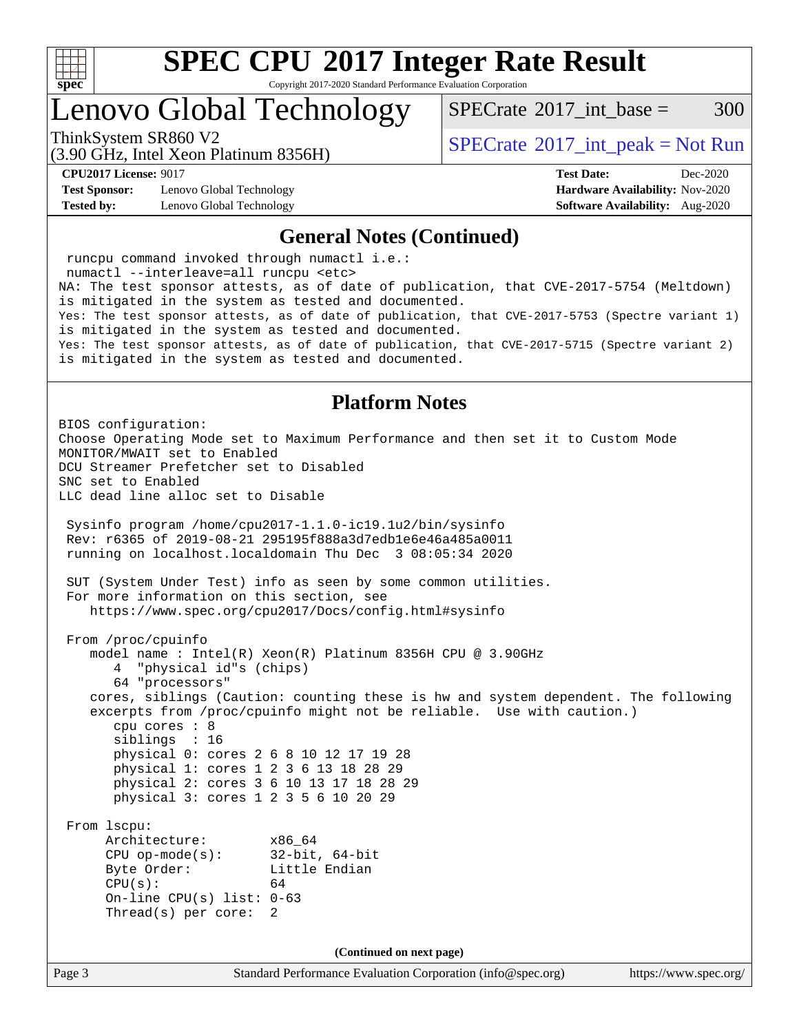

Copyright 2017-2020 Standard Performance Evaluation Corporation

## Lenovo Global Technology

 $SPECTate^{\circledcirc}2017$  int base = 300

(3.90 GHz, Intel Xeon Platinum 8356H)

ThinkSystem SR860 V2<br>  $\begin{array}{c} \text{SPECrate} \textcirc 2017\_int\_peak = Not Run \end{array}$  $\begin{array}{c} \text{SPECrate} \textcirc 2017\_int\_peak = Not Run \end{array}$  $\begin{array}{c} \text{SPECrate} \textcirc 2017\_int\_peak = Not Run \end{array}$ 

**[Test Sponsor:](http://www.spec.org/auto/cpu2017/Docs/result-fields.html#TestSponsor)** Lenovo Global Technology **[Hardware Availability:](http://www.spec.org/auto/cpu2017/Docs/result-fields.html#HardwareAvailability)** Nov-2020 **[Tested by:](http://www.spec.org/auto/cpu2017/Docs/result-fields.html#Testedby)** Lenovo Global Technology **[Software Availability:](http://www.spec.org/auto/cpu2017/Docs/result-fields.html#SoftwareAvailability)** Aug-2020

**[CPU2017 License:](http://www.spec.org/auto/cpu2017/Docs/result-fields.html#CPU2017License)** 9017 **[Test Date:](http://www.spec.org/auto/cpu2017/Docs/result-fields.html#TestDate)** Dec-2020

#### **[General Notes \(Continued\)](http://www.spec.org/auto/cpu2017/Docs/result-fields.html#GeneralNotes)**

Page 3 Standard Performance Evaluation Corporation [\(info@spec.org\)](mailto:info@spec.org) <https://www.spec.org/> runcpu command invoked through numactl i.e.: numactl --interleave=all runcpu <etc> NA: The test sponsor attests, as of date of publication, that CVE-2017-5754 (Meltdown) is mitigated in the system as tested and documented. Yes: The test sponsor attests, as of date of publication, that CVE-2017-5753 (Spectre variant 1) is mitigated in the system as tested and documented. Yes: The test sponsor attests, as of date of publication, that CVE-2017-5715 (Spectre variant 2) is mitigated in the system as tested and documented. **[Platform Notes](http://www.spec.org/auto/cpu2017/Docs/result-fields.html#PlatformNotes)** BIOS configuration: Choose Operating Mode set to Maximum Performance and then set it to Custom Mode MONITOR/MWAIT set to Enabled DCU Streamer Prefetcher set to Disabled SNC set to Enabled LLC dead line alloc set to Disable Sysinfo program /home/cpu2017-1.1.0-ic19.1u2/bin/sysinfo Rev: r6365 of 2019-08-21 295195f888a3d7edb1e6e46a485a0011 running on localhost.localdomain Thu Dec 3 08:05:34 2020 SUT (System Under Test) info as seen by some common utilities. For more information on this section, see <https://www.spec.org/cpu2017/Docs/config.html#sysinfo> From /proc/cpuinfo model name : Intel(R) Xeon(R) Platinum 8356H CPU @ 3.90GHz 4 "physical id"s (chips) 64 "processors" cores, siblings (Caution: counting these is hw and system dependent. The following excerpts from /proc/cpuinfo might not be reliable. Use with caution.) cpu cores : 8 siblings : 16 physical 0: cores 2 6 8 10 12 17 19 28 physical 1: cores 1 2 3 6 13 18 28 29 physical 2: cores 3 6 10 13 17 18 28 29 physical 3: cores 1 2 3 5 6 10 20 29 From lscpu: Architecture: x86\_64 CPU op-mode(s): 32-bit, 64-bit Byte Order: Little Endian  $CPU(s):$  64 On-line CPU(s) list: 0-63 Thread(s) per core: 2 **(Continued on next page)**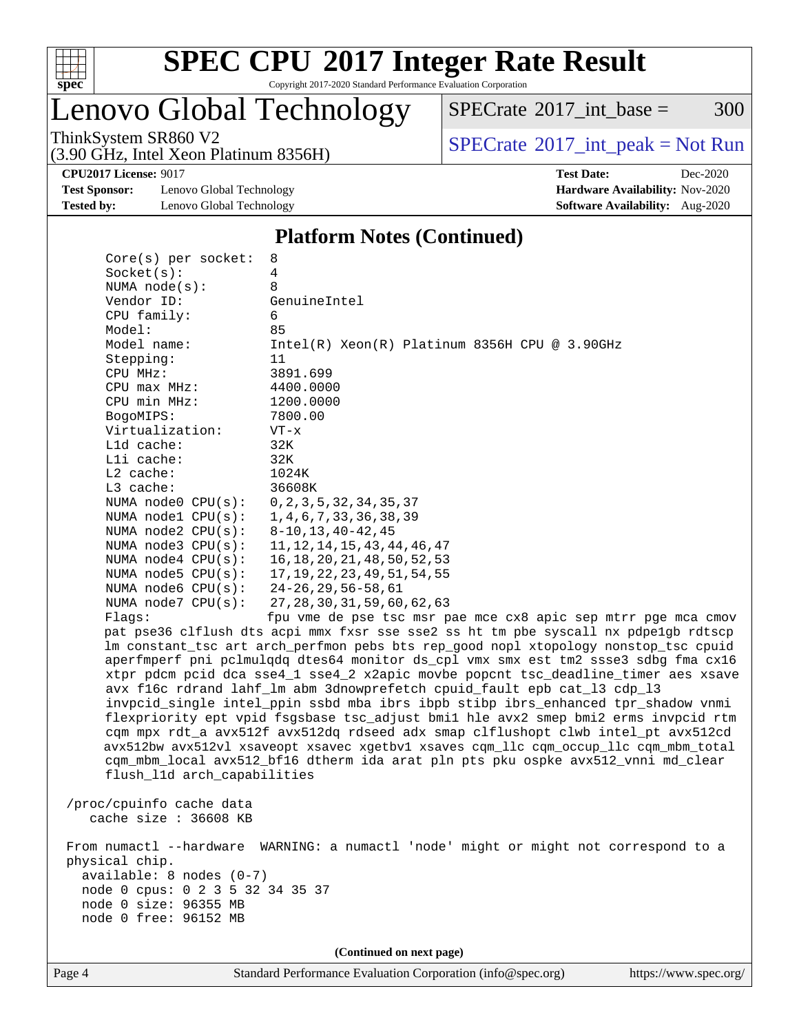

Copyright 2017-2020 Standard Performance Evaluation Corporation

## Lenovo Global Technology

 $SPECTate$ <sup>®</sup>[2017\\_int\\_base =](http://www.spec.org/auto/cpu2017/Docs/result-fields.html#SPECrate2017intbase) 300

(3.90 GHz, Intel Xeon Platinum 8356H)

ThinkSystem SR860 V2<br>  $(3.00 \text{ GHz. Intel Yoon Plutium } 8356 \text{W})$  [SPECrate](http://www.spec.org/auto/cpu2017/Docs/result-fields.html#SPECrate2017intpeak)®[2017\\_int\\_peak = N](http://www.spec.org/auto/cpu2017/Docs/result-fields.html#SPECrate2017intpeak)ot Run

**[CPU2017 License:](http://www.spec.org/auto/cpu2017/Docs/result-fields.html#CPU2017License)** 9017 **[Test Date:](http://www.spec.org/auto/cpu2017/Docs/result-fields.html#TestDate)** Dec-2020

**[Test Sponsor:](http://www.spec.org/auto/cpu2017/Docs/result-fields.html#TestSponsor)** Lenovo Global Technology **[Hardware Availability:](http://www.spec.org/auto/cpu2017/Docs/result-fields.html#HardwareAvailability)** Nov-2020 **[Tested by:](http://www.spec.org/auto/cpu2017/Docs/result-fields.html#Testedby)** Lenovo Global Technology **[Software Availability:](http://www.spec.org/auto/cpu2017/Docs/result-fields.html#SoftwareAvailability)** Aug-2020

#### **[Platform Notes \(Continued\)](http://www.spec.org/auto/cpu2017/Docs/result-fields.html#PlatformNotes)**

| $Core(s)$ per socket:                                                                                                                                       | 8                                                                                                                                                                                                                                                                                                                                                                                                                                                                                                                                                                                                                                                                                                                                                                                                                                                                          |
|-------------------------------------------------------------------------------------------------------------------------------------------------------------|----------------------------------------------------------------------------------------------------------------------------------------------------------------------------------------------------------------------------------------------------------------------------------------------------------------------------------------------------------------------------------------------------------------------------------------------------------------------------------------------------------------------------------------------------------------------------------------------------------------------------------------------------------------------------------------------------------------------------------------------------------------------------------------------------------------------------------------------------------------------------|
| Socket(s):                                                                                                                                                  | 4                                                                                                                                                                                                                                                                                                                                                                                                                                                                                                                                                                                                                                                                                                                                                                                                                                                                          |
| NUMA $node(s):$                                                                                                                                             | 8                                                                                                                                                                                                                                                                                                                                                                                                                                                                                                                                                                                                                                                                                                                                                                                                                                                                          |
| Vendor ID:                                                                                                                                                  | GenuineIntel                                                                                                                                                                                                                                                                                                                                                                                                                                                                                                                                                                                                                                                                                                                                                                                                                                                               |
| CPU family:                                                                                                                                                 | 6                                                                                                                                                                                                                                                                                                                                                                                                                                                                                                                                                                                                                                                                                                                                                                                                                                                                          |
| Model:                                                                                                                                                      | 85                                                                                                                                                                                                                                                                                                                                                                                                                                                                                                                                                                                                                                                                                                                                                                                                                                                                         |
| Model name:                                                                                                                                                 | $Intel(R) Xeon(R) Platinum 8356H CPU @ 3.90GHz$                                                                                                                                                                                                                                                                                                                                                                                                                                                                                                                                                                                                                                                                                                                                                                                                                            |
| Stepping:                                                                                                                                                   | 11                                                                                                                                                                                                                                                                                                                                                                                                                                                                                                                                                                                                                                                                                                                                                                                                                                                                         |
| CPU MHz:                                                                                                                                                    | 3891.699                                                                                                                                                                                                                                                                                                                                                                                                                                                                                                                                                                                                                                                                                                                                                                                                                                                                   |
| CPU max MHz:                                                                                                                                                | 4400.0000                                                                                                                                                                                                                                                                                                                                                                                                                                                                                                                                                                                                                                                                                                                                                                                                                                                                  |
| CPU min MHz:                                                                                                                                                | 1200.0000                                                                                                                                                                                                                                                                                                                                                                                                                                                                                                                                                                                                                                                                                                                                                                                                                                                                  |
| BogoMIPS:                                                                                                                                                   | 7800.00                                                                                                                                                                                                                                                                                                                                                                                                                                                                                                                                                                                                                                                                                                                                                                                                                                                                    |
| Virtualization:                                                                                                                                             | $VT - x$                                                                                                                                                                                                                                                                                                                                                                                                                                                                                                                                                                                                                                                                                                                                                                                                                                                                   |
| L1d cache:                                                                                                                                                  | 32K                                                                                                                                                                                                                                                                                                                                                                                                                                                                                                                                                                                                                                                                                                                                                                                                                                                                        |
| Lli cache:                                                                                                                                                  | 32K                                                                                                                                                                                                                                                                                                                                                                                                                                                                                                                                                                                                                                                                                                                                                                                                                                                                        |
| L2 cache:                                                                                                                                                   | 1024K                                                                                                                                                                                                                                                                                                                                                                                                                                                                                                                                                                                                                                                                                                                                                                                                                                                                      |
| L3 cache:                                                                                                                                                   | 36608K                                                                                                                                                                                                                                                                                                                                                                                                                                                                                                                                                                                                                                                                                                                                                                                                                                                                     |
| NUMA $node0$ $CPU(s):$                                                                                                                                      | 0, 2, 3, 5, 32, 34, 35, 37                                                                                                                                                                                                                                                                                                                                                                                                                                                                                                                                                                                                                                                                                                                                                                                                                                                 |
| NUMA nodel CPU(s):                                                                                                                                          | 1, 4, 6, 7, 33, 36, 38, 39                                                                                                                                                                                                                                                                                                                                                                                                                                                                                                                                                                                                                                                                                                                                                                                                                                                 |
| NUMA node2 CPU(s):                                                                                                                                          | $8 - 10, 13, 40 - 42, 45$                                                                                                                                                                                                                                                                                                                                                                                                                                                                                                                                                                                                                                                                                                                                                                                                                                                  |
| NUMA node3 CPU(s):                                                                                                                                          | 11, 12, 14, 15, 43, 44, 46, 47                                                                                                                                                                                                                                                                                                                                                                                                                                                                                                                                                                                                                                                                                                                                                                                                                                             |
| NUMA node4 CPU(s):                                                                                                                                          | 16, 18, 20, 21, 48, 50, 52, 53                                                                                                                                                                                                                                                                                                                                                                                                                                                                                                                                                                                                                                                                                                                                                                                                                                             |
| NUMA node5 CPU(s):                                                                                                                                          | 17, 19, 22, 23, 49, 51, 54, 55                                                                                                                                                                                                                                                                                                                                                                                                                                                                                                                                                                                                                                                                                                                                                                                                                                             |
| NUMA node6 CPU(s):                                                                                                                                          | $24 - 26, 29, 56 - 58, 61$                                                                                                                                                                                                                                                                                                                                                                                                                                                                                                                                                                                                                                                                                                                                                                                                                                                 |
| NUMA node7 CPU(s):                                                                                                                                          | 27, 28, 30, 31, 59, 60, 62, 63                                                                                                                                                                                                                                                                                                                                                                                                                                                                                                                                                                                                                                                                                                                                                                                                                                             |
| Flaqs:                                                                                                                                                      | fpu vme de pse tsc msr pae mce cx8 apic sep mtrr pge mca cmov                                                                                                                                                                                                                                                                                                                                                                                                                                                                                                                                                                                                                                                                                                                                                                                                              |
| flush_l1d arch_capabilities                                                                                                                                 | pat pse36 clflush dts acpi mmx fxsr sse sse2 ss ht tm pbe syscall nx pdpelgb rdtscp<br>lm constant_tsc art arch_perfmon pebs bts rep_good nopl xtopology nonstop_tsc cpuid<br>aperfmperf pni pclmulqdq dtes64 monitor ds_cpl vmx smx est tm2 ssse3 sdbg fma cx16<br>xtpr pdcm pcid dca sse4_1 sse4_2 x2apic movbe popcnt tsc_deadline_timer aes xsave<br>avx f16c rdrand lahf_lm abm 3dnowprefetch cpuid_fault epb cat_13 cdp_13<br>invpcid_single intel_ppin ssbd mba ibrs ibpb stibp ibrs_enhanced tpr_shadow vnmi<br>flexpriority ept vpid fsgsbase tsc_adjust bmil hle avx2 smep bmi2 erms invpcid rtm<br>cqm mpx rdt_a avx512f avx512dq rdseed adx smap clflushopt clwb intel_pt avx512cd<br>avx512bw avx512vl xsaveopt xsavec xgetbvl xsaves cqm_llc cqm_occup_llc cqm_mbm_total<br>cqm_mbm_local avx512_bf16 dtherm ida arat pln pts pku ospke avx512_vnni md_clear |
| /proc/cpuinfo cache data<br>cache size $: 36608$ KB                                                                                                         |                                                                                                                                                                                                                                                                                                                                                                                                                                                                                                                                                                                                                                                                                                                                                                                                                                                                            |
| From numactl --hardware<br>physical chip.<br>available: 8 nodes (0-7)<br>node 0 cpus: 0 2 3 5 32 34 35 37<br>node 0 size: 96355 MB<br>node 0 free: 96152 MB | WARNING: a numactl 'node' might or might not correspond to a                                                                                                                                                                                                                                                                                                                                                                                                                                                                                                                                                                                                                                                                                                                                                                                                               |
|                                                                                                                                                             | (Continued on next page)                                                                                                                                                                                                                                                                                                                                                                                                                                                                                                                                                                                                                                                                                                                                                                                                                                                   |
|                                                                                                                                                             |                                                                                                                                                                                                                                                                                                                                                                                                                                                                                                                                                                                                                                                                                                                                                                                                                                                                            |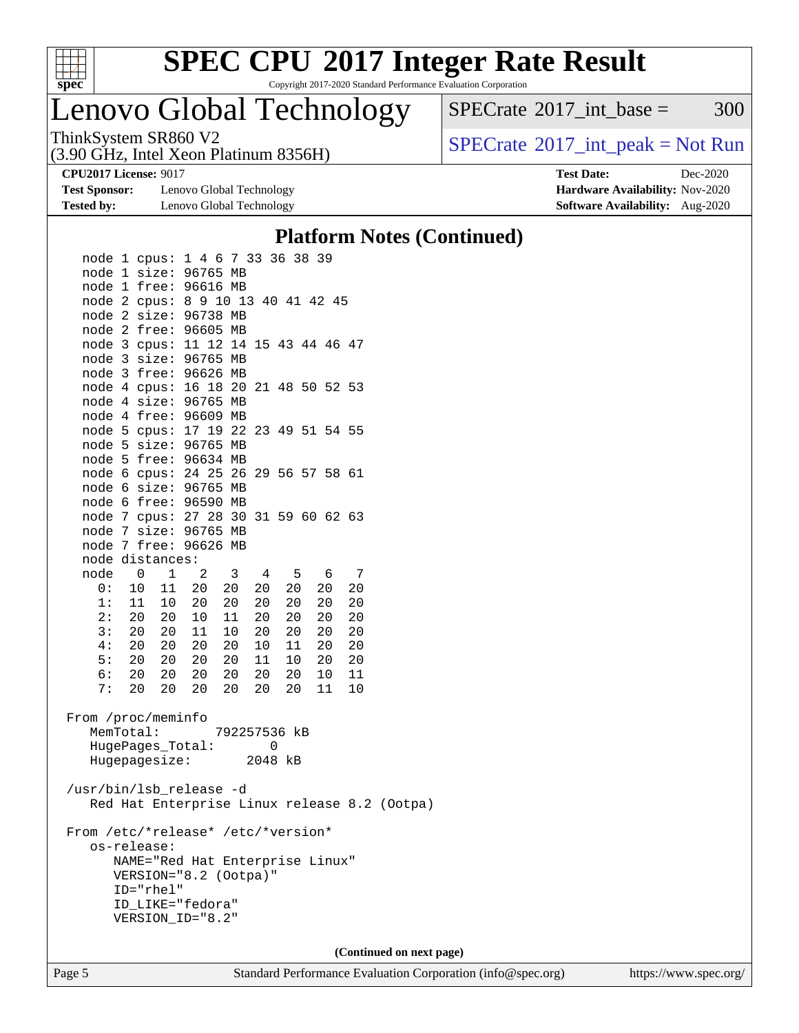

Copyright 2017-2020 Standard Performance Evaluation Corporation

## Lenovo Global Technology

(3.90 GHz, Intel Xeon Platinum 8356H)

ThinkSystem SR860 V2<br>  $(3.00 \text{ GHz. Intel Yoon Plutium } 8356 \text{W})$  [SPECrate](http://www.spec.org/auto/cpu2017/Docs/result-fields.html#SPECrate2017intpeak)®[2017\\_int\\_peak = N](http://www.spec.org/auto/cpu2017/Docs/result-fields.html#SPECrate2017intpeak)ot Run

 $SPECTate@2017_int\_base = 300$ 

**[Test Sponsor:](http://www.spec.org/auto/cpu2017/Docs/result-fields.html#TestSponsor)** Lenovo Global Technology **[Hardware Availability:](http://www.spec.org/auto/cpu2017/Docs/result-fields.html#HardwareAvailability)** Nov-2020 **[Tested by:](http://www.spec.org/auto/cpu2017/Docs/result-fields.html#Testedby)** Lenovo Global Technology **[Software Availability:](http://www.spec.org/auto/cpu2017/Docs/result-fields.html#SoftwareAvailability)** Aug-2020

**[CPU2017 License:](http://www.spec.org/auto/cpu2017/Docs/result-fields.html#CPU2017License)** 9017 **[Test Date:](http://www.spec.org/auto/cpu2017/Docs/result-fields.html#TestDate)** Dec-2020

### **[Platform Notes \(Continued\)](http://www.spec.org/auto/cpu2017/Docs/result-fields.html#PlatformNotes)**

| node 1 cpus: 1 4 6 7 33 36 38 39     |  |           |                                             |  |                 |              |                 |                 |                |                                              |  |
|--------------------------------------|--|-----------|---------------------------------------------|--|-----------------|--------------|-----------------|-----------------|----------------|----------------------------------------------|--|
| node 1 size: 96765 MB                |  |           |                                             |  |                 |              |                 |                 |                |                                              |  |
| node 1 free: 96616 MB                |  |           |                                             |  |                 |              |                 |                 |                |                                              |  |
| node 2 cpus: 8 9 10 13 40 41 42 45   |  |           |                                             |  |                 |              |                 |                 |                |                                              |  |
| node 2 size: 96738 MB                |  |           |                                             |  |                 |              |                 |                 |                |                                              |  |
| node 2 free: 96605 MB                |  |           |                                             |  |                 |              |                 |                 |                |                                              |  |
| node 3 cpus: 11 12 14 15 43 44 46 47 |  |           |                                             |  |                 |              |                 |                 |                |                                              |  |
| node 3 size: 96765 MB                |  |           |                                             |  |                 |              |                 |                 |                |                                              |  |
| node 3 free: 96626 MB                |  |           |                                             |  |                 |              |                 |                 |                |                                              |  |
| node 4 cpus: 16 18 20 21 48 50 52 53 |  |           |                                             |  |                 |              |                 |                 |                |                                              |  |
| node 4 size: 96765 MB                |  |           |                                             |  |                 |              |                 |                 |                |                                              |  |
| node 4 free: 96609 MB                |  |           |                                             |  |                 |              |                 |                 |                |                                              |  |
| node 5 cpus: 17 19 22 23 49 51 54 55 |  |           |                                             |  |                 |              |                 |                 |                |                                              |  |
| node 5 size: 96765 MB                |  |           |                                             |  |                 |              |                 |                 |                |                                              |  |
| node 5 free: 96634 MB                |  |           |                                             |  |                 |              |                 |                 |                |                                              |  |
| node 6 cpus: 24 25 26 29 56 57 58 61 |  |           |                                             |  |                 |              |                 |                 |                |                                              |  |
| node 6 size: 96765 MB                |  |           |                                             |  |                 |              |                 |                 |                |                                              |  |
| node 6 free: 96590 MB                |  |           |                                             |  |                 |              |                 |                 |                |                                              |  |
| node 7 cpus: 27 28 30 31 59 60 62 63 |  |           |                                             |  |                 |              |                 |                 |                |                                              |  |
| node 7 size: 96765 MB                |  |           |                                             |  |                 |              |                 |                 |                |                                              |  |
| node 7 free: 96626 MB                |  |           |                                             |  |                 |              |                 |                 |                |                                              |  |
| node distances:                      |  |           |                                             |  |                 |              |                 |                 |                |                                              |  |
|                                      |  |           |                                             |  | $4\overline{4}$ |              | 5 6             |                 | $\overline{7}$ |                                              |  |
| node 0 1 2 3<br>0: 10 11 20 20       |  |           |                                             |  |                 |              |                 |                 |                |                                              |  |
|                                      |  |           | 1: 11 10 20 20                              |  | 20              |              | 20 <sub>o</sub> | 20 <sub>2</sub> | 20             |                                              |  |
|                                      |  |           |                                             |  | 20              | 20           |                 | 20              | 20             |                                              |  |
|                                      |  |           | 2: 20 20 10 11 20                           |  |                 | 20           |                 | 20              | 20             |                                              |  |
|                                      |  |           | 3: 20 20 11 10 20                           |  |                 |              | 20              | 20              | 20             |                                              |  |
|                                      |  |           | 4: 20 20 20 20                              |  | 10              | 11           |                 | 20              | 20             |                                              |  |
|                                      |  |           | 5: 20 20 20 20 11<br>6: 20 20 20 20 20      |  | 11              |              | 10              | 20              | 20             |                                              |  |
|                                      |  |           |                                             |  |                 |              | 20 <sub>o</sub> | 10              | 11             |                                              |  |
|                                      |  |           | 7: 20 20 20 20 20                           |  |                 |              | 20              | 11              | 10             |                                              |  |
|                                      |  |           |                                             |  |                 |              |                 |                 |                |                                              |  |
| From /proc/meminfo                   |  |           |                                             |  |                 |              |                 |                 |                |                                              |  |
| MemTotal:                            |  |           |                                             |  |                 | 792257536 kB |                 |                 |                |                                              |  |
|                                      |  |           | HugePages_Total: 0<br>Hugepagesize: 2048 kB |  |                 |              |                 |                 |                |                                              |  |
|                                      |  |           |                                             |  |                 |              |                 |                 |                |                                              |  |
|                                      |  |           |                                             |  |                 |              |                 |                 |                |                                              |  |
| /usr/bin/lsb_release -d              |  |           |                                             |  |                 |              |                 |                 |                |                                              |  |
|                                      |  |           |                                             |  |                 |              |                 |                 |                | Red Hat Enterprise Linux release 8.2 (Ootpa) |  |
|                                      |  |           |                                             |  |                 |              |                 |                 |                |                                              |  |
| From /etc/*release* /etc/*version*   |  |           |                                             |  |                 |              |                 |                 |                |                                              |  |
| os-release:                          |  |           |                                             |  |                 |              |                 |                 |                |                                              |  |
|                                      |  |           | NAME="Red Hat Enterprise Linux"             |  |                 |              |                 |                 |                |                                              |  |
|                                      |  |           | VERSION="8.2 (Ootpa)"                       |  |                 |              |                 |                 |                |                                              |  |
|                                      |  | ID="rhel" |                                             |  |                 |              |                 |                 |                |                                              |  |
|                                      |  |           | ID_LIKE="fedora"                            |  |                 |              |                 |                 |                |                                              |  |
|                                      |  |           | VERSION_ID="8.2"                            |  |                 |              |                 |                 |                |                                              |  |
|                                      |  |           |                                             |  |                 |              |                 |                 |                |                                              |  |
|                                      |  |           |                                             |  |                 |              |                 |                 |                | (Continued on next page)                     |  |
|                                      |  |           |                                             |  |                 |              |                 |                 |                |                                              |  |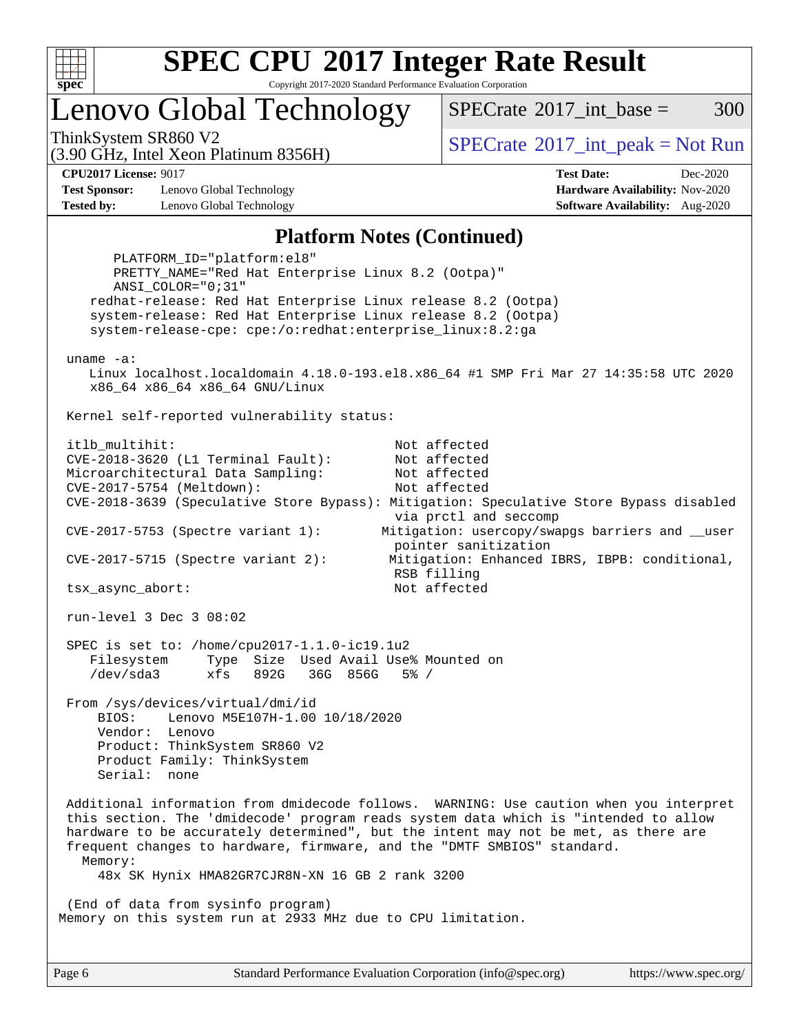

Copyright 2017-2020 Standard Performance Evaluation Corporation

## Lenovo Global Technology

 $SPECTate^{\circledcirc}2017$  int base = 300

(3.90 GHz, Intel Xeon Platinum 8356H)

ThinkSystem SR860 V2<br>  $\begin{array}{c} \text{SPECrate} \textcirc 2017\_int\_peak = Not Run \end{array}$  $\begin{array}{c} \text{SPECrate} \textcirc 2017\_int\_peak = Not Run \end{array}$  $\begin{array}{c} \text{SPECrate} \textcirc 2017\_int\_peak = Not Run \end{array}$ 

**[Test Sponsor:](http://www.spec.org/auto/cpu2017/Docs/result-fields.html#TestSponsor)** Lenovo Global Technology **[Hardware Availability:](http://www.spec.org/auto/cpu2017/Docs/result-fields.html#HardwareAvailability)** Nov-2020 **[Tested by:](http://www.spec.org/auto/cpu2017/Docs/result-fields.html#Testedby)** Lenovo Global Technology **[Software Availability:](http://www.spec.org/auto/cpu2017/Docs/result-fields.html#SoftwareAvailability)** Aug-2020

**[CPU2017 License:](http://www.spec.org/auto/cpu2017/Docs/result-fields.html#CPU2017License)** 9017 **[Test Date:](http://www.spec.org/auto/cpu2017/Docs/result-fields.html#TestDate)** Dec-2020

#### **[Platform Notes \(Continued\)](http://www.spec.org/auto/cpu2017/Docs/result-fields.html#PlatformNotes)**

 PLATFORM\_ID="platform:el8" PRETTY\_NAME="Red Hat Enterprise Linux 8.2 (Ootpa)" ANSI\_COLOR="0;31" redhat-release: Red Hat Enterprise Linux release 8.2 (Ootpa) system-release: Red Hat Enterprise Linux release 8.2 (Ootpa) system-release-cpe: cpe:/o:redhat:enterprise\_linux:8.2:ga uname -a: Linux localhost.localdomain 4.18.0-193.el8.x86\_64 #1 SMP Fri Mar 27 14:35:58 UTC 2020 x86\_64 x86\_64 x86\_64 GNU/Linux Kernel self-reported vulnerability status: itlb\_multihit: Not affected CVE-2018-3620 (L1 Terminal Fault): Not affected Microarchitectural Data Sampling: Not affected CVE-2017-5754 (Meltdown): Not affected CVE-2018-3639 (Speculative Store Bypass): Mitigation: Speculative Store Bypass disabled via prctl and seccomp CVE-2017-5753 (Spectre variant 1): Mitigation: usercopy/swapgs barriers and \_\_user pointer sanitization CVE-2017-5715 (Spectre variant 2): Mitigation: Enhanced IBRS, IBPB: conditional, RSB filling tsx\_async\_abort: Not affected run-level 3 Dec 3 08:02 SPEC is set to: /home/cpu2017-1.1.0-ic19.1u2 Filesystem Type Size Used Avail Use% Mounted on /dev/sda3 xfs 892G 36G 856G 5% / From /sys/devices/virtual/dmi/id BIOS: Lenovo M5E107H-1.00 10/18/2020 Vendor: Lenovo Product: ThinkSystem SR860 V2 Product Family: ThinkSystem Serial: none Additional information from dmidecode follows. WARNING: Use caution when you interpret this section. The 'dmidecode' program reads system data which is "intended to allow hardware to be accurately determined", but the intent may not be met, as there are frequent changes to hardware, firmware, and the "DMTF SMBIOS" standard. Memory: 48x SK Hynix HMA82GR7CJR8N-XN 16 GB 2 rank 3200 (End of data from sysinfo program) Memory on this system run at 2933 MHz due to CPU limitation.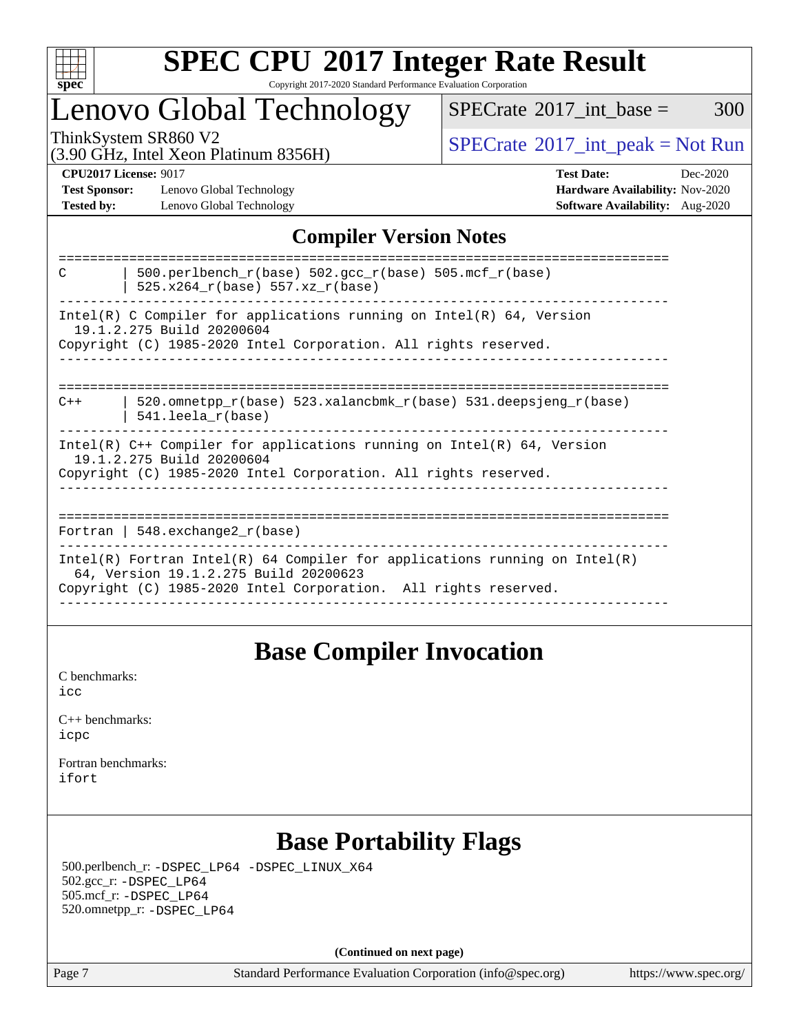

### **[SPEC CPU](http://www.spec.org/auto/cpu2017/Docs/result-fields.html#SPECCPU2017IntegerRateResult)[2017 Integer Rate Result](http://www.spec.org/auto/cpu2017/Docs/result-fields.html#SPECCPU2017IntegerRateResult)** Copyright 2017-2020 Standard Performance Evaluation Corporation

## Lenovo Global Technology

 $SPECTate$ <sup>®</sup>[2017\\_int\\_base =](http://www.spec.org/auto/cpu2017/Docs/result-fields.html#SPECrate2017intbase) 300

(3.90 GHz, Intel Xeon Platinum 8356H)

ThinkSystem SR860 V2<br>  $(3.00 \text{ GHz, Intel Yoon Plotinum } 8356 \text{W})$  [SPECrate](http://www.spec.org/auto/cpu2017/Docs/result-fields.html#SPECrate2017intpeak)®[2017\\_int\\_peak = N](http://www.spec.org/auto/cpu2017/Docs/result-fields.html#SPECrate2017intpeak)ot Run

**[Test Sponsor:](http://www.spec.org/auto/cpu2017/Docs/result-fields.html#TestSponsor)** Lenovo Global Technology **[Hardware Availability:](http://www.spec.org/auto/cpu2017/Docs/result-fields.html#HardwareAvailability)** Nov-2020 **[Tested by:](http://www.spec.org/auto/cpu2017/Docs/result-fields.html#Testedby)** Lenovo Global Technology **[Software Availability:](http://www.spec.org/auto/cpu2017/Docs/result-fields.html#SoftwareAvailability)** Aug-2020

**[CPU2017 License:](http://www.spec.org/auto/cpu2017/Docs/result-fields.html#CPU2017License)** 9017 **[Test Date:](http://www.spec.org/auto/cpu2017/Docs/result-fields.html#TestDate)** Dec-2020

### **[Compiler Version Notes](http://www.spec.org/auto/cpu2017/Docs/result-fields.html#CompilerVersionNotes)**

| 500.perlbench $r(base)$ 502.qcc $r(base)$ 505.mcf $r(base)$<br>C<br>525.x264 r(base) 557.xz r(base)                                                                                    |
|----------------------------------------------------------------------------------------------------------------------------------------------------------------------------------------|
| Intel(R) C Compiler for applications running on Intel(R) $64$ , Version<br>19.1.2.275 Build 20200604<br>Copyright (C) 1985-2020 Intel Corporation. All rights reserved.                |
| 520.omnetpp $r(base)$ 523.xalancbmk $r(base)$ 531.deepsjeng $r(base)$<br>$C++$<br>$541.$ leela r(base)                                                                                 |
| $Intel(R)$ C++ Compiler for applications running on $Intel(R)$ 64, Version<br>19.1.2.275 Build 20200604<br>Copyright (C) 1985-2020 Intel Corporation. All rights reserved.             |
| Fortran   $548$ . exchange $2r$ (base)                                                                                                                                                 |
| Intel(R) Fortran Intel(R) 64 Compiler for applications running on Intel(R)<br>64, Version 19.1.2.275 Build 20200623<br>Copyright (C) 1985-2020 Intel Corporation. All rights reserved. |

### **[Base Compiler Invocation](http://www.spec.org/auto/cpu2017/Docs/result-fields.html#BaseCompilerInvocation)**

[C benchmarks](http://www.spec.org/auto/cpu2017/Docs/result-fields.html#Cbenchmarks): [icc](http://www.spec.org/cpu2017/results/res2020q4/cpu2017-20201207-24537.flags.html#user_CCbase_intel_icc_66fc1ee009f7361af1fbd72ca7dcefbb700085f36577c54f309893dd4ec40d12360134090235512931783d35fd58c0460139e722d5067c5574d8eaf2b3e37e92)

| $C_{++}$ benchmarks: |  |
|----------------------|--|
| icpc                 |  |

[Fortran benchmarks](http://www.spec.org/auto/cpu2017/Docs/result-fields.html#Fortranbenchmarks): [ifort](http://www.spec.org/cpu2017/results/res2020q4/cpu2017-20201207-24537.flags.html#user_FCbase_intel_ifort_8111460550e3ca792625aed983ce982f94888b8b503583aa7ba2b8303487b4d8a21a13e7191a45c5fd58ff318f48f9492884d4413fa793fd88dd292cad7027ca)

## **[Base Portability Flags](http://www.spec.org/auto/cpu2017/Docs/result-fields.html#BasePortabilityFlags)**

 500.perlbench\_r: [-DSPEC\\_LP64](http://www.spec.org/cpu2017/results/res2020q4/cpu2017-20201207-24537.flags.html#b500.perlbench_r_basePORTABILITY_DSPEC_LP64) [-DSPEC\\_LINUX\\_X64](http://www.spec.org/cpu2017/results/res2020q4/cpu2017-20201207-24537.flags.html#b500.perlbench_r_baseCPORTABILITY_DSPEC_LINUX_X64) 502.gcc\_r: [-DSPEC\\_LP64](http://www.spec.org/cpu2017/results/res2020q4/cpu2017-20201207-24537.flags.html#suite_basePORTABILITY502_gcc_r_DSPEC_LP64) 505.mcf\_r: [-DSPEC\\_LP64](http://www.spec.org/cpu2017/results/res2020q4/cpu2017-20201207-24537.flags.html#suite_basePORTABILITY505_mcf_r_DSPEC_LP64) 520.omnetpp\_r: [-DSPEC\\_LP64](http://www.spec.org/cpu2017/results/res2020q4/cpu2017-20201207-24537.flags.html#suite_basePORTABILITY520_omnetpp_r_DSPEC_LP64)

**(Continued on next page)**

Page 7 Standard Performance Evaluation Corporation [\(info@spec.org\)](mailto:info@spec.org) <https://www.spec.org/>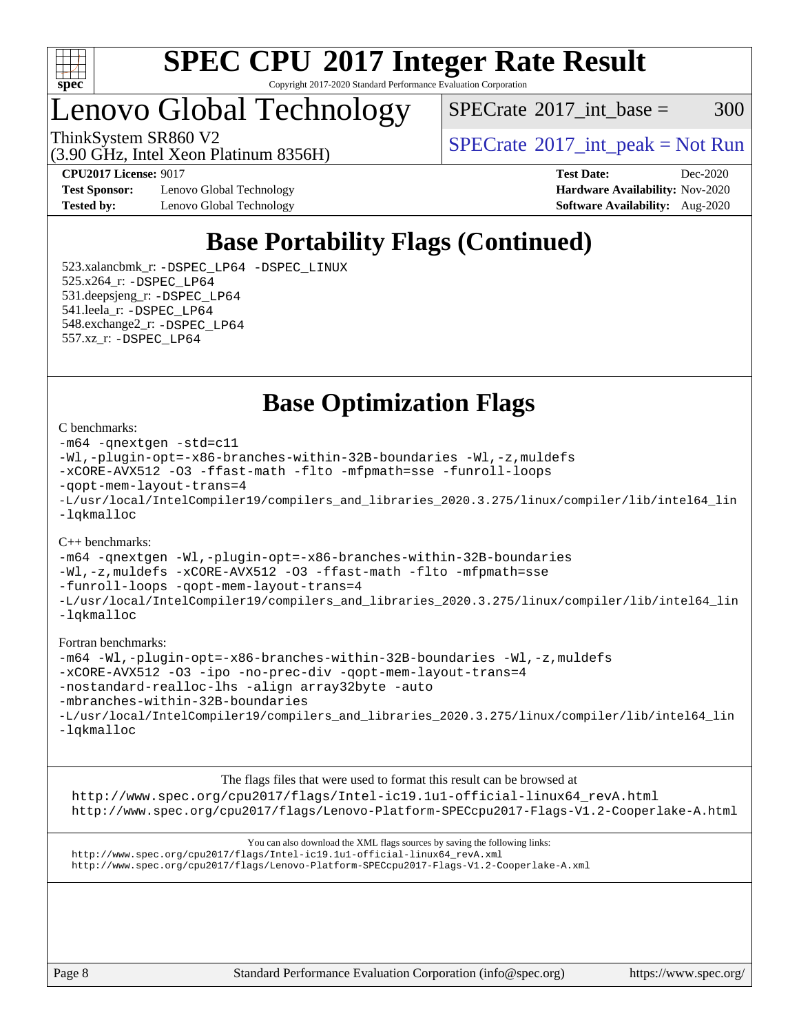

Copyright 2017-2020 Standard Performance Evaluation Corporation

## Lenovo Global Technology

(3.90 GHz, Intel Xeon Platinum 8356H)

 $SPECTate$ <sup>®</sup>[2017\\_int\\_base =](http://www.spec.org/auto/cpu2017/Docs/result-fields.html#SPECrate2017intbase) 300

ThinkSystem SR860 V2<br>  $\begin{array}{c} \text{SPECTR} \\ \text{SPECTR} \\ \text{SPECTR} \end{array}$  [SPECrate](http://www.spec.org/auto/cpu2017/Docs/result-fields.html#SPECrate2017intpeak)®[2017\\_int\\_peak = N](http://www.spec.org/auto/cpu2017/Docs/result-fields.html#SPECrate2017intpeak)ot Run

**[Test Sponsor:](http://www.spec.org/auto/cpu2017/Docs/result-fields.html#TestSponsor)** Lenovo Global Technology **[Hardware Availability:](http://www.spec.org/auto/cpu2017/Docs/result-fields.html#HardwareAvailability)** Nov-2020 **[Tested by:](http://www.spec.org/auto/cpu2017/Docs/result-fields.html#Testedby)** Lenovo Global Technology **[Software Availability:](http://www.spec.org/auto/cpu2017/Docs/result-fields.html#SoftwareAvailability)** Aug-2020

**[CPU2017 License:](http://www.spec.org/auto/cpu2017/Docs/result-fields.html#CPU2017License)** 9017 **[Test Date:](http://www.spec.org/auto/cpu2017/Docs/result-fields.html#TestDate)** Dec-2020

## **[Base Portability Flags \(Continued\)](http://www.spec.org/auto/cpu2017/Docs/result-fields.html#BasePortabilityFlags)**

 523.xalancbmk\_r: [-DSPEC\\_LP64](http://www.spec.org/cpu2017/results/res2020q4/cpu2017-20201207-24537.flags.html#suite_basePORTABILITY523_xalancbmk_r_DSPEC_LP64) [-DSPEC\\_LINUX](http://www.spec.org/cpu2017/results/res2020q4/cpu2017-20201207-24537.flags.html#b523.xalancbmk_r_baseCXXPORTABILITY_DSPEC_LINUX) 525.x264\_r: [-DSPEC\\_LP64](http://www.spec.org/cpu2017/results/res2020q4/cpu2017-20201207-24537.flags.html#suite_basePORTABILITY525_x264_r_DSPEC_LP64) 531.deepsjeng\_r: [-DSPEC\\_LP64](http://www.spec.org/cpu2017/results/res2020q4/cpu2017-20201207-24537.flags.html#suite_basePORTABILITY531_deepsjeng_r_DSPEC_LP64) 541.leela\_r: [-DSPEC\\_LP64](http://www.spec.org/cpu2017/results/res2020q4/cpu2017-20201207-24537.flags.html#suite_basePORTABILITY541_leela_r_DSPEC_LP64) 548.exchange2\_r: [-DSPEC\\_LP64](http://www.spec.org/cpu2017/results/res2020q4/cpu2017-20201207-24537.flags.html#suite_basePORTABILITY548_exchange2_r_DSPEC_LP64) 557.xz\_r: [-DSPEC\\_LP64](http://www.spec.org/cpu2017/results/res2020q4/cpu2017-20201207-24537.flags.html#suite_basePORTABILITY557_xz_r_DSPEC_LP64)

**[Base Optimization Flags](http://www.spec.org/auto/cpu2017/Docs/result-fields.html#BaseOptimizationFlags)**

#### [C benchmarks](http://www.spec.org/auto/cpu2017/Docs/result-fields.html#Cbenchmarks):

```
-m64 -qnextgen -std=c11
-Wl,-plugin-opt=-x86-branches-within-32B-boundaries -Wl,-z,muldefs
-xCORE-AVX512 -O3 -ffast-math -flto -mfpmath=sse -funroll-loops
-qopt-mem-layout-trans=4
-L/usr/local/IntelCompiler19/compilers_and_libraries_2020.3.275/linux/compiler/lib/intel64_lin
-lqkmalloc
```
#### [C++ benchmarks](http://www.spec.org/auto/cpu2017/Docs/result-fields.html#CXXbenchmarks):

[-m64](http://www.spec.org/cpu2017/results/res2020q4/cpu2017-20201207-24537.flags.html#user_CXXbase_m64-icc) [-qnextgen](http://www.spec.org/cpu2017/results/res2020q4/cpu2017-20201207-24537.flags.html#user_CXXbase_f-qnextgen) [-Wl,-plugin-opt=-x86-branches-within-32B-boundaries](http://www.spec.org/cpu2017/results/res2020q4/cpu2017-20201207-24537.flags.html#user_CXXbase_f-x86-branches-within-32B-boundaries_0098b4e4317ae60947b7b728078a624952a08ac37a3c797dfb4ffeb399e0c61a9dd0f2f44ce917e9361fb9076ccb15e7824594512dd315205382d84209e912f3) [-Wl,-z,muldefs](http://www.spec.org/cpu2017/results/res2020q4/cpu2017-20201207-24537.flags.html#user_CXXbase_link_force_multiple1_b4cbdb97b34bdee9ceefcfe54f4c8ea74255f0b02a4b23e853cdb0e18eb4525ac79b5a88067c842dd0ee6996c24547a27a4b99331201badda8798ef8a743f577) [-xCORE-AVX512](http://www.spec.org/cpu2017/results/res2020q4/cpu2017-20201207-24537.flags.html#user_CXXbase_f-xCORE-AVX512) [-O3](http://www.spec.org/cpu2017/results/res2020q4/cpu2017-20201207-24537.flags.html#user_CXXbase_f-O3) [-ffast-math](http://www.spec.org/cpu2017/results/res2020q4/cpu2017-20201207-24537.flags.html#user_CXXbase_f-ffast-math) [-flto](http://www.spec.org/cpu2017/results/res2020q4/cpu2017-20201207-24537.flags.html#user_CXXbase_f-flto) [-mfpmath=sse](http://www.spec.org/cpu2017/results/res2020q4/cpu2017-20201207-24537.flags.html#user_CXXbase_f-mfpmath_70eb8fac26bde974f8ab713bc9086c5621c0b8d2f6c86f38af0bd7062540daf19db5f3a066d8c6684be05d84c9b6322eb3b5be6619d967835195b93d6c02afa1) [-funroll-loops](http://www.spec.org/cpu2017/results/res2020q4/cpu2017-20201207-24537.flags.html#user_CXXbase_f-funroll-loops) [-qopt-mem-layout-trans=4](http://www.spec.org/cpu2017/results/res2020q4/cpu2017-20201207-24537.flags.html#user_CXXbase_f-qopt-mem-layout-trans_fa39e755916c150a61361b7846f310bcdf6f04e385ef281cadf3647acec3f0ae266d1a1d22d972a7087a248fd4e6ca390a3634700869573d231a252c784941a8) [-L/usr/local/IntelCompiler19/compilers\\_and\\_libraries\\_2020.3.275/linux/compiler/lib/intel64\\_lin](http://www.spec.org/cpu2017/results/res2020q4/cpu2017-20201207-24537.flags.html#user_CXXbase_linkpath_6eb3b1b8be403820338b5b82e7a1c217a861a8962ac718a6253be1483b50620487664a39a847caf560d84a6b8bab7cca33d9f414525a12ede1e9473db34a3d08) [-lqkmalloc](http://www.spec.org/cpu2017/results/res2020q4/cpu2017-20201207-24537.flags.html#user_CXXbase_qkmalloc_link_lib_79a818439969f771c6bc311cfd333c00fc099dad35c030f5aab9dda831713d2015205805422f83de8875488a2991c0a156aaa600e1f9138f8fc37004abc96dc5)

#### [Fortran benchmarks:](http://www.spec.org/auto/cpu2017/Docs/result-fields.html#Fortranbenchmarks)

```
-m64 -Wl,-plugin-opt=-x86-branches-within-32B-boundaries -Wl,-z,muldefs
-xCORE-AVX512 -O3 -ipo -no-prec-div -qopt-mem-layout-trans=4
-nostandard-realloc-lhs -align array32byte -auto
-mbranches-within-32B-boundaries
-L/usr/local/IntelCompiler19/compilers_and_libraries_2020.3.275/linux/compiler/lib/intel64_lin
-lqkmalloc
```
[The flags files that were used to format this result can be browsed at](tmsearch) [http://www.spec.org/cpu2017/flags/Intel-ic19.1u1-official-linux64\\_revA.html](http://www.spec.org/cpu2017/flags/Intel-ic19.1u1-official-linux64_revA.html) <http://www.spec.org/cpu2017/flags/Lenovo-Platform-SPECcpu2017-Flags-V1.2-Cooperlake-A.html>

[You can also download the XML flags sources by saving the following links:](tmsearch) [http://www.spec.org/cpu2017/flags/Intel-ic19.1u1-official-linux64\\_revA.xml](http://www.spec.org/cpu2017/flags/Intel-ic19.1u1-official-linux64_revA.xml) <http://www.spec.org/cpu2017/flags/Lenovo-Platform-SPECcpu2017-Flags-V1.2-Cooperlake-A.xml>